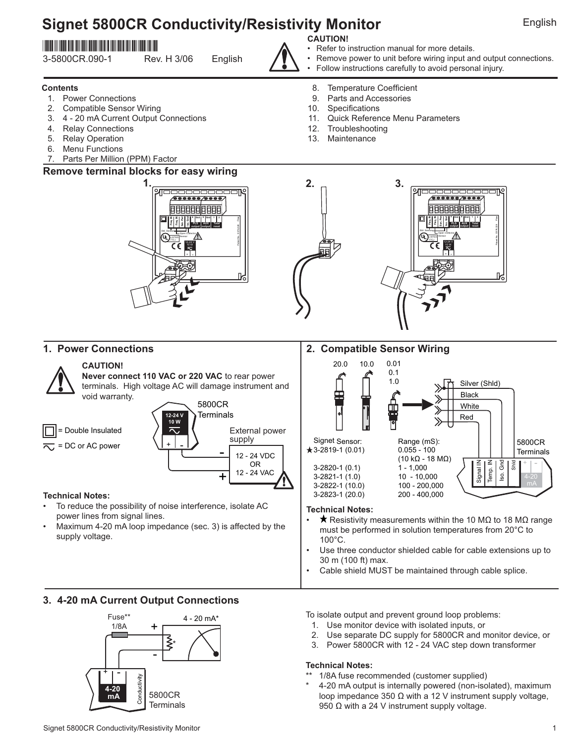# **Signet 5800CR Conductivity/Resistivity Monitor English English**

## \*3-5800CR.090-1\*

3-5800CR.090-1 Rev. H 3/06 English

- **Contents** 1. Power Connections
- 2. Compatible Sensor Wiring
- 3. 4 20 mA Current Output Connections
- 4. Relay Connections
- 5. Relay Operation
- 6. Menu Functions
- 7. Parts Per Million (PPM) Factor

#### **Remove terminal blocks for easy wiring**



## **CAUTION!**

- Refer to instruction manual for more details.
- Remove power to unit before wiring input and output connections.
- Follow instructions carefully to avoid personal injury.
- 8. Temperature Coefficient
- 9. Parts and Accessories
- 10. Specifications
- 11. Quick Reference Menu Parameters
- 12. Troubleshooting
- 13. Maintenance



#### **1. Power Connections 2. Compatible Sensor Wiring** 20.0 10.0 0.01 **CAUTION!** 0.1 **Never connect 110 VAC or 220 VAC** to rear power 1.0 Silver (Shld) terminals. High voltage AC will damage instrument and Ŧ Black void warranty. 5800CR 曲 **White Terminals 12-24 V** Red **10 W** = Double Insulated External power supply Signet Sensor: Range (mS): 5800CR  $=$  DC or AC power -  $\bigstar$ 3-2819-1 (0.01) 0.055 - 100 **Terminals** 12 - 24 VDC (10 kΩ - 18 MΩ) Signal IN Temp. IN Iso. Gnd  $+$  | -OR Shld 3-2820-1 (0.1) 1 - 1,000 12 - 24 VAC +  $3 - 2821 - 1(1.0)$ 3-2822-1 (10.0) 100 - 200,000<br>3-2823-1 (20.0) 200 - 400.000 3-2823-1 (20.0) **Technical Notes:** To reduce the possibility of noise interference, isolate AC **Technical Notes:** power lines from signal lines. • Resistivity measurements within the 10 MΩ to 18 MΩ range Maximum 4-20 mA loop impedance (sec. 3) is affected by the

- must be performed in solution temperatures from 20°C to 100°C.
- Use three conductor shielded cable for cable extensions up to 30 m (100 ft) max.
- Cable shield MUST be maintained through cable splice.

#### **3. 4-20 mA Current Output Connections**

supply voltage.



To isolate output and prevent ground loop problems:

- 1. Use monitor device with isolated inputs, or
- 2. Use separate DC supply for 5800CR and monitor device, or
- 3. Power 5800CR with 12 24 VAC step down transformer

#### **Technical Notes:**

- <sup>\*</sup> 1/8A fuse recommended (customer supplied)
- 4-20 mA output is internally powered (non-isolated), maximum loop impedance 350 Ω with a 12 V instrument supply voltage, 950  $Ω$  with a 24 V instrument supply voltage.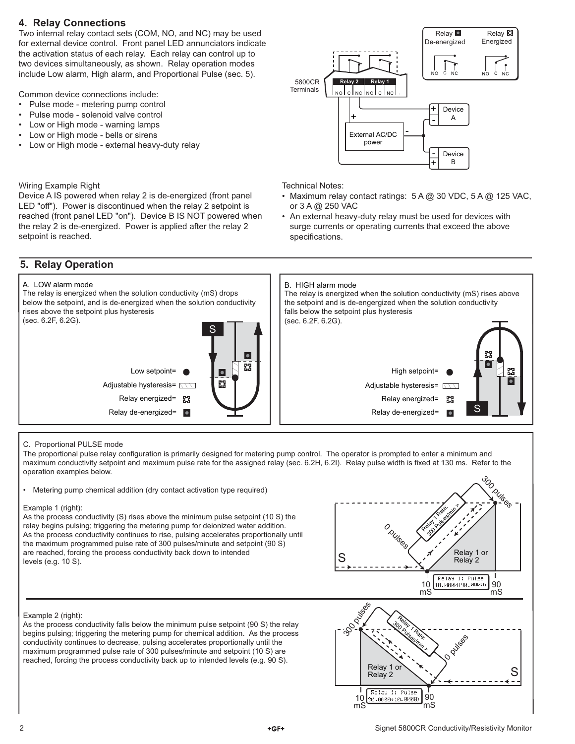## **4. Relay Connections**

Two internal relay contact sets (COM, NO, and NC) may be used for external device control. Front panel LED annunciators indicate the activation status of each relay. Each relay can control up to two devices simultaneously, as shown. Relay operation modes include Low alarm, High alarm, and Proportional Pulse (sec. 5).

Common device connections include:

- Pulse mode metering pump control
- Pulse mode solenoid valve control
- Low or High mode warning lamps
- Low or High mode bells or sirens
- Low or High mode external heavy-duty relay

#### Wiring Example Right

Device A IS powered when relay 2 is de-energized (front panel LED "off"). Power is discontinued when the relay 2 setpoint is reached (front panel LED "on"). Device B IS NOT powered when the relay 2 is de-energized. Power is applied after the relay 2 setpoint is reached.

## **5. Relay Operation**

#### A. LOW alarm mode

The relay is energized when the solution conductivity (mS) drops below the setpoint, and is de-energized when the solution conductivity rises above the setpoint plus hysteresis (sec. 6.2F, 6.2G).





Technical Notes:

- Maximum relay contact ratings: 5 A @ 30 VDC, 5 A @ 125 VAC, or 3 A @ 250 VAC
- An external heavy-duty relay must be used for devices with surge currents or operating currents that exceed the above specifications.



#### C. Proportional PULSE mode

The proportional pulse relay configuration is primarily designed for metering pump control. The operator is prompted to enter a minimum and maximum conductivity setpoint and maximum pulse rate for the assigned relay (sec. 6.2H, 6.2I). Relay pulse width is fixed at 130 ms. Refer to the operation examples below.

• Metering pump chemical addition (dry contact activation type required)

#### Example 1 (right):

As the process conductivity (S) rises above the minimum pulse setpoint (10 S) the relay begins pulsing; triggering the metering pump for deionized water addition. As the process conductivity continues to rise, pulsing accelerates proportionally until the maximum programmed pulse rate of 300 pulses/minute and setpoint (90 S) are reached, forcing the process conductivity back down to intended levels (e.g. 10 S).



#### Example 2 (right):

As the process conductivity falls below the minimum pulse setpoint (90 S) the relay begins pulsing; triggering the metering pump for chemical addition. As the process conductivity continues to decrease, pulsing accelerates proportionally until the maximum programmed pulse rate of 300 pulses/minute and setpoint (10 S) are reached, forcing the process conductivity back up to intended levels (e.g. 90 S).

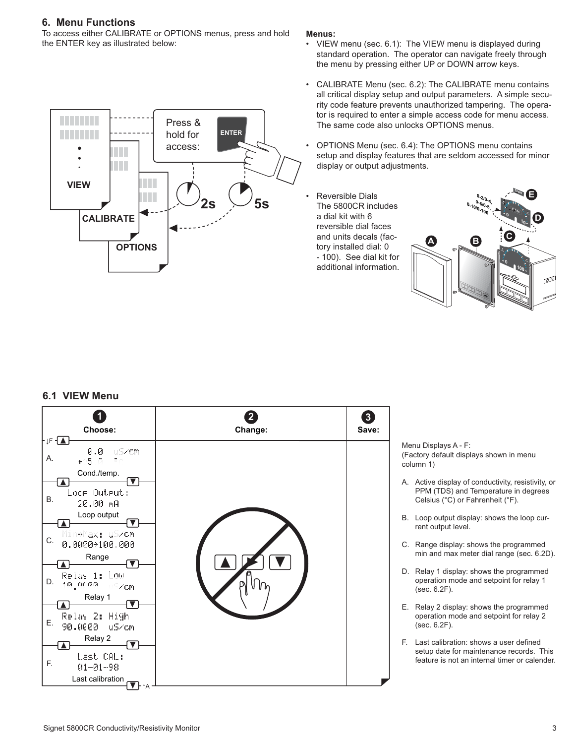#### **6. Menu Functions**

To access either CALIBRATE or OPTIONS menus, press and hold the ENTER key as illustrated below:

> Press & hold for access:

**OPTIONS**

**CALIBRATE**

H.

**VIEW**

#### **Menus:**

**2s 5s**

**ENTER**

- VIEW menu (sec. 6.1): The VIEW menu is displayed during standard operation. The operator can navigate freely through the menu by pressing either UP or DOWN arrow keys.
- CALIBRATE Menu (sec. 6.2): The CALIBRATE menu contains all critical display setup and output parameters. A simple security code feature prevents unauthorized tampering. The operator is required to enter a simple access code for menu access. The same code also unlocks OPTIONS menus.
- OPTIONS Menu (sec. 6.4): The OPTIONS menu contains setup and display features that are seldom accessed for minor display or output adjustments.
- Reversible Dials The 5800CR includes a dial kit with 6 reversible dial faces and units decals (factory installed dial: 0 - 100). See dial kit for additional information.



#### **6.1 VIEW Menu**



Menu Displays A - F: (Factory default displays shown in menu column 1)

- A. Active display of conductivity, resistivity, or PPM (TDS) and Temperature in degrees Celsius (°C) or Fahrenheit (°F).
- B. Loop output display: shows the loop current output level.
- C. Range display: shows the programmed min and max meter dial range (sec. 6.2D).
- D. Relay 1 display: shows the programmed operation mode and setpoint for relay 1 (sec. 6.2F).
- E. Relay 2 display: shows the programmed operation mode and setpoint for relay 2 (sec. 6.2F).
- F. Last calibration: shows a user defined setup date for maintenance records. This feature is not an internal timer or calender.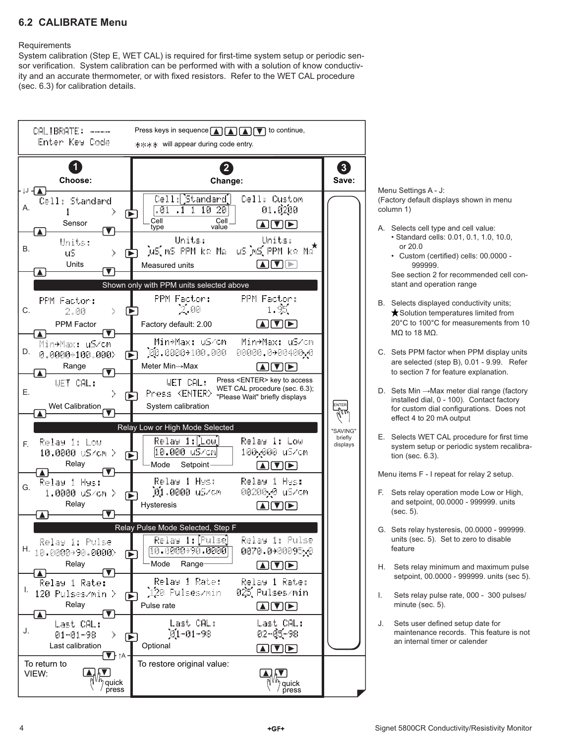## **6.2 CALIBRATE Menu**

#### **Requirements**

System calibration (Step E, WET CAL) is required for first-time system setup or periodic sensor verification. System calibration can be performed with with a solution of know conductivity and an accurate thermometer, or with fixed resistors. Refer to the WET CAL procedure (sec. 6.3) for calibration details.

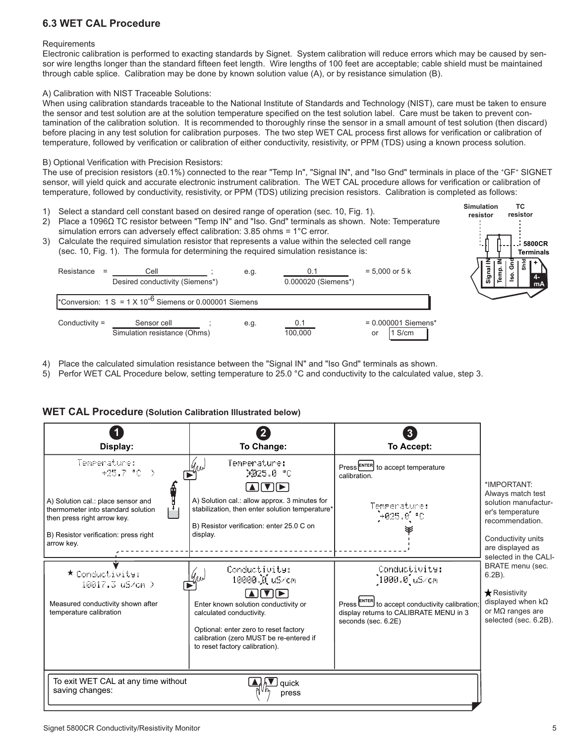## **6.3 WET CAL Procedure**

#### **Requirements**

Electronic calibration is performed to exacting standards by Signet. System calibration will reduce errors which may be caused by sensor wire lengths longer than the standard fifteen feet length. Wire lengths of 100 feet are acceptable; cable shield must be maintained through cable splice. Calibration may be done by known solution value (A), or by resistance simulation (B).

#### A) Calibration with NIST Traceable Solutions:

When using calibration standards traceable to the National Institute of Standards and Technology (NIST), care must be taken to ensure the sensor and test solution are at the solution temperature specified on the test solution label. Care must be taken to prevent contamination of the calibration solution. It is recommended to thoroughly rinse the sensor in a small amount of test solution (then discard) before placing in any test solution for calibration purposes. The two step WET CAL process first allows for verification or calibration of temperature, followed by verification or calibration of either conductivity, resistivity, or PPM (TDS) using a known process solution.

#### B) Optional Verification with Precision Resistors:

The use of precision resistors (±0.1%) connected to the rear "Temp In", "Signal IN", and "Iso Gnd" terminals in place of the +GF+ SIGNET sensor, will yield quick and accurate electronic instrument calibration. The WET CAL procedure allows for verification or calibration of temperature, followed by conductivity, resistivity, or PPM (TDS) utilizing precision resistors. Calibration is completed as follows:

- 1) Select a standard cell constant based on desired range of operation (sec. 10, Fig. 1).
- 2) Place a 1096Ω TC resistor between "Temp IN" and "Iso. Gnd" terminals as shown. Note: Temperature simulation errors can adversely effect calibration: 3.85 ohms = 1°C error.
- 3) Calculate the required simulation resistor that represents a value within the selected cell range (sec. 10, Fig. 1). The formula for determining the required simulation resistance is:

| Resistance<br>$=$ | Cell<br>Desired conductivity (Siemens*)                                         | e.g. | 0.1<br>0.000020 (Siemens*) | $= 5,000$ or $5 \text{ k}$            |
|-------------------|---------------------------------------------------------------------------------|------|----------------------------|---------------------------------------|
|                   | <sup>*</sup> Conversion: 1 S = 1 X 10 <sup>-6</sup> Siemens or 0.000001 Siemens |      |                            |                                       |
| Conductivity $=$  | Sensor cell<br>Simulation resistance (Ohms)                                     | e.g. | 0.1<br>100.000             | $= 0.000001$ Siemens*<br>1 S/cm<br>or |

- 4) Place the calculated simulation resistance between the "Signal IN" and "Iso Gnd" terminals as shown.
- 5) Perfor WET CAL Procedure below, setting temperature to 25.0 °C and conductivity to the calculated value, step 3.

#### **WET CAL Procedure (Solution Calibration Illustrated below)**



**Shld**

**TC resistor**

> **+ 4 mA**

**5800CR Terminals**

**Signal Temp. IN Iso. Gnd**

**Simulation resistor**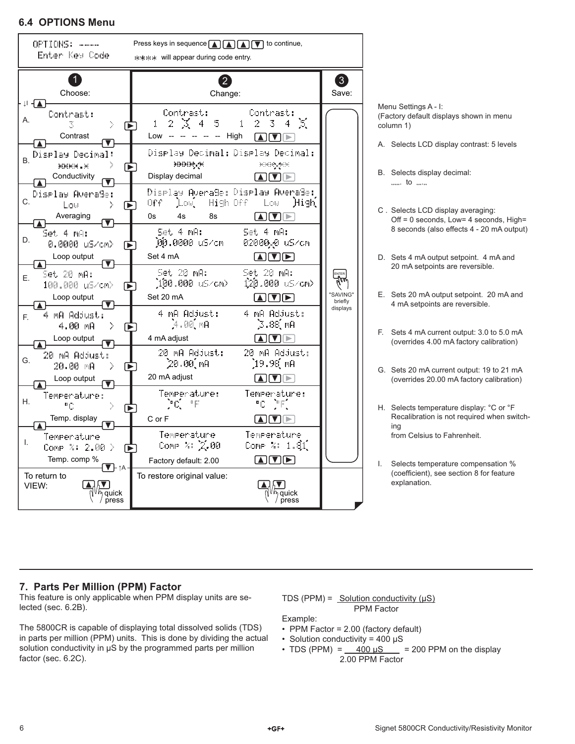### **6.4 OPTIONS Menu**



Menu Settings A - I: (Factory default displays shown in menu column 1)

- A. Selects LCD display contrast: 5 levels
- B. Selects display decimal:  $\cdots$  to  $\cdots$
- C . Selects LCD display averaging: Off = 0 seconds, Low= 4 seconds, High= 8 seconds (also effects 4 - 20 mA output)
- D. Sets 4 mA output setpoint. 4 mA and 20 mA setpoints are reversible.
- E. Sets 20 mA output setpoint. 20 mA and 4 mA setpoints are reversible.
- F. Sets 4 mA current output: 3.0 to 5.0 mA (overrides 4.00 mA factory calibration)
- G. Sets 20 mA current output: 19 to 21 mA (overrides 20.00 mA factory calibration)
- H. Selects temperature display: °C or °F Recalibration is not required when switching from Celsius to Fahrenheit.
- I. Selects temperature compensation % (coefficient), see section 8 for feature explanation.

## **7. Parts Per Million (PPM) Factor**

This feature is only applicable when PPM display units are selected (sec. 6.2B).

The 5800CR is capable of displaying total dissolved solids (TDS) in parts per million (PPM) units. This is done by dividing the actual solution conductivity in  $\mu$ S by the programmed parts per million factor (sec. 6.2C).

TDS (PPM) =  $Solution$  conductivity ( $\mu S$ ) PPM Factor

#### Example:

- PPM Factor = 2.00 (factory default)
- Solution conductivity = 400 µS
- TDS (PPM) =  $400 \mu$ S = 200 PPM on the display 2.00 PPM Factor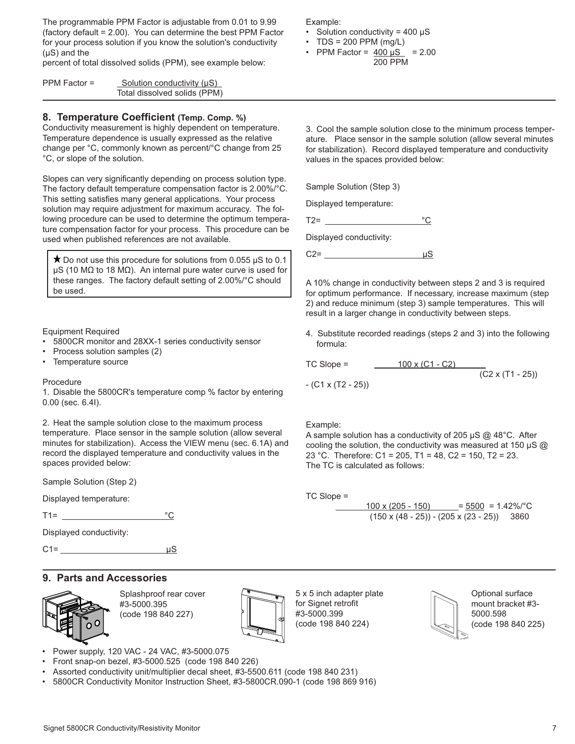The programmable PPM Factor is adjustable from 0.01 to 9.99 (factory default = 2.00). You can determine the best PPM Factor for your process solution if you know the solution's conductivity  $(\mu S)$  and the

percent of total dissolved solids (PPM), see example below:

| PPM Factor $=$ | Solution conductivity (µS)   |
|----------------|------------------------------|
|                | Total dissolved solids (PPM) |

#### **8. Temperature Coefficient (Temp. Comp. %)**

Conductivity measurement is highly dependent on temperature. Temperature dependence is usually expressed as the relative change per °C, commonly known as percent/°C change from 25 °C, or slope of the solution.

Slopes can very significantly depending on process solution type. The factory default temperature compensation factor is 2.00%/°C. This setting satisfies many general applications. Your process solution may require adjustment for maximum accuracy. The following procedure can be used to determine the optimum temperature compensation factor for your process. This procedure can be used when published references are not available.

 $\star$  Do not use this procedure for solutions from 0.055  $\mu$ S to 0.1 µS (10 MΩ to 18 MΩ). An internal pure water curve is used for these ranges. The factory default setting of 2.00%/°C should be used.

Equipment Required

- 5800CR monitor and 28XX-1 series conductivity sensor
- Process solution samples (2)
- Temperature source

#### Procedure

1. Disable the 5800CR's temperature comp % factor by entering 0.00 (sec. 6.4I).

2. Heat the sample solution close to the maximum process temperature. Place sensor in the sample solution (allow several minutes for stabilization). Access the VIEW menu (sec. 6.1A) and record the displayed temperature and conductivity values in the spaces provided below:

Sample Solution (Step 2)

Displayed temperature:

T1= °C

Displayed conductivity:

 $C1 = \qquad \qquad \mu S$ 

## **9. Parts and Accessories**



Splashproof rear cover #3-5000.395 (code 198 840 227)



5 x 5 inch adapter plate for Signet retrofit #3-5000.399 (code 198 840 224)



Optional surface mount bracket #3- 5000.598 (code 198 840 225)

Example:

- Solution conductivity =  $400 \mu S$
- $\cdot$  TDS = 200 PPM (mg/L) • PPM Factor =  $400 \mu S$  = 2.00
	- 200 PPM

3. Cool the sample solution close to the minimum process temperature. Place sensor in the sample solution (allow several minutes for stabilization). Record displayed temperature and conductivity values in the spaces provided below:

Sample Solution (Step 3)

Displayed temperature:

 $T2 =$   $°C$ 

Displayed conductivity:

 $C2 = \frac{\mu S}{\sigma}$ 

A 10% change in conductivity between steps 2 and 3 is required for optimum performance. If necessary, increase maximum (step 2) and reduce minimum (step 3) sample temperatures. This will result in a larger change in conductivity between steps.

4. Substitute recorded readings (steps 2 and 3) into the following formula:

TC Slope =  $\frac{100 \times (C1 - C2)}{}$ 

 $-$  (C1 x (T2 - 25))

 $\frac{1}{(C2 \times (T1 - 25))}$ 

Example:

A sample solution has a conductivity of 205  $\mu$ S @ 48°C. After cooling the solution, the conductivity was measured at 150 µS @ 23 °C. Therefore: C1 = 205, T1 = 48, C2 = 150, T2 = 23. The TC is calculated as follows:

TC Slope =

 $100 \times (205 - 150)$  = 5500 = 1.42%/°C  $(150 \times (48 - 25)) - (205 \times (23 - 25))$  3860

- Power supply, 120 VAC 24 VAC, #3-5000.075 • Front snap-on bezel, #3-5000.525 (code 198 840 226)
- Assorted conductivity unit/multiplier decal sheet, #3-5500.611 (code 198 840 231)
- 5800CR Conductivity Monitor Instruction Sheet, #3-5800CR.090-1 (code 198 869 916)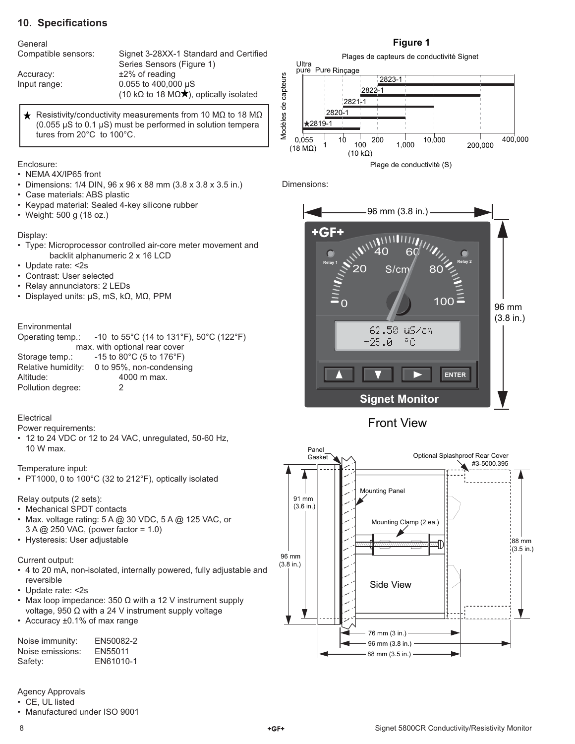## **10. Specifications**

#### General

Compatible sensors: Signet 3-28XX-1 Standard and Certified Series Sensors (Figure 1) Accuracy:  $\pm 2\%$  of reading Input range: 0.055 to 400,000 µS (10 k $\Omega$  to 18 M $\Omega \star$ ), optically isolated

 $\bigstar$  Resistivity/conductivity measurements from 10 MΩ to 18 MΩ (0.055  $\mu$ S to 0.1  $\mu$ S) must be performed in solution tempera tures from 20°C to 100°C.

Enclosure:

- NEMA 4X/IP65 front
- Dimensions: 1/4 DIN, 96 x 96 x 88 mm (3.8 x 3.8 x 3.5 in.)
- Case materials: ABS plastic
- Keypad material: Sealed 4-key silicone rubber
- Weight: 500 g (18 oz.)

#### Display:

- Type: Microprocessor controlled air-core meter movement and backlit alphanumeric 2 x 16 LCD
- Update rate: <2s
- Contrast: User selected
- Relay annunciators: 2 LEDs
- Displayed units: µS, mS, kΩ, MΩ, PPM

#### Environmental

|                               | Operating temp.: -10 to 55°C (14 to 131°F), 50°C (122°F) |  |  |
|-------------------------------|----------------------------------------------------------|--|--|
| max. with optional rear cover |                                                          |  |  |
| Storage temp.:                | $-15$ to 80 $^{\circ}$ C (5 to 176 $^{\circ}$ F)         |  |  |
| Relative humidity:            | 0 to 95%, non-condensing                                 |  |  |
| Altitude:                     | 4000 m max.                                              |  |  |
| Pollution degree:             |                                                          |  |  |

#### Electrical

Power requirements:

• 12 to 24 VDC or 12 to 24 VAC, unregulated, 50-60 Hz, 10 W max.

Temperature input:

• PT1000, 0 to 100°C (32 to 212°F), optically isolated

Relay outputs (2 sets):

- Mechanical SPDT contacts
- Max. voltage rating: 5 A @ 30 VDC, 5 A @ 125 VAC, or 3 A @ 250 VAC, (power factor = 1.0)
- Hysteresis: User adjustable

Current output:

- 4 to 20 mA, non-isolated, internally powered, fully adjustable and reversible
- Update rate: <2s
- Max loop impedance: 350  $\Omega$  with a 12 V instrument supply voltage, 950 Ω with a 24 V instrument supply voltage
- Accuracy ±0.1% of max range

| Noise immunity:  | EN50082-2 |
|------------------|-----------|
| Noise emissions: | EN55011   |
| Safety:          | EN61010-1 |

Agency Approvals

• CE, UL listed

• Manufactured under ISO 9001

#### **Figure 1**



Dimensions:



Front View

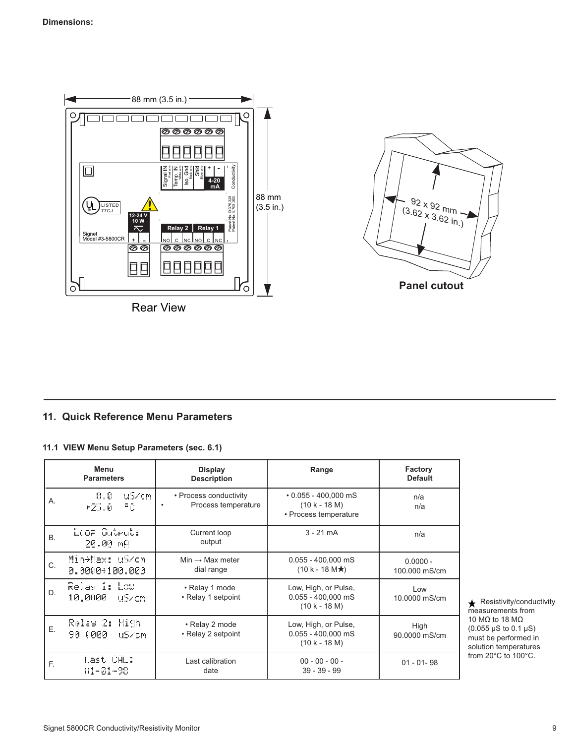

Rear View



## **11. Quick Reference Menu Parameters**

#### **11.1 VIEW Menu Setup Parameters (sec. 6.1)**

|    | Menu<br><b>Parameters</b>            | <b>Display</b><br><b>Description</b>          | Range                                                                  | Factory<br><b>Default</b>   |
|----|--------------------------------------|-----------------------------------------------|------------------------------------------------------------------------|-----------------------------|
| Α. | 0.0<br>uS/cm<br>РC.<br>$+25.0$       | • Process conductivity<br>Process temperature | $\cdot$ 0.055 - 400,000 mS<br>$(10 k - 18 M)$<br>• Process temperature | n/a<br>n/a                  |
| B. | Loop Output:<br>20.00 mA             | Current loop<br>output                        | $3 - 21$ mA                                                            | n/a                         |
| C. | Min+Max: uS/cm<br>0.0000+100.000     | $Min \rightarrow Max$ meter<br>dial range     | $0.055 - 400,000$ mS<br>$(10 k - 18 M\star)$                           | $0.0000 -$<br>100,000 mS/cm |
| D. | Relay 1: Low<br>10.0000<br>uS∠cm     | • Relay 1 mode<br>• Relay 1 setpoint          | Low, High, or Pulse,<br>$0.055 - 400,000$ mS<br>$(10 k - 18 M)$        | Low<br>10.0000 mS/cm        |
| Ε. | Relay 2: High<br>90.0000<br>- uS∠cmi | • Relay 2 mode<br>• Relay 2 setpoint          | Low, High, or Pulse,<br>$0.055 - 400,000$ mS<br>$(10 k - 18 M)$        | High<br>90.0000 mS/cm       |
| E. | Last CAL:<br>$01 - 01 - 98$          | Last calibration<br>date                      | $00 - 00 - 00 -$<br>$39 - 39 - 99$                                     | $01 - 01 - 98$              |

 $\bigstar$  Resistivity/conductivity measurements from 10 MΩ to 18 MΩ (0.055 µS to 0.1 µS) must be performed in solution temperatures from 20°C to 100°C.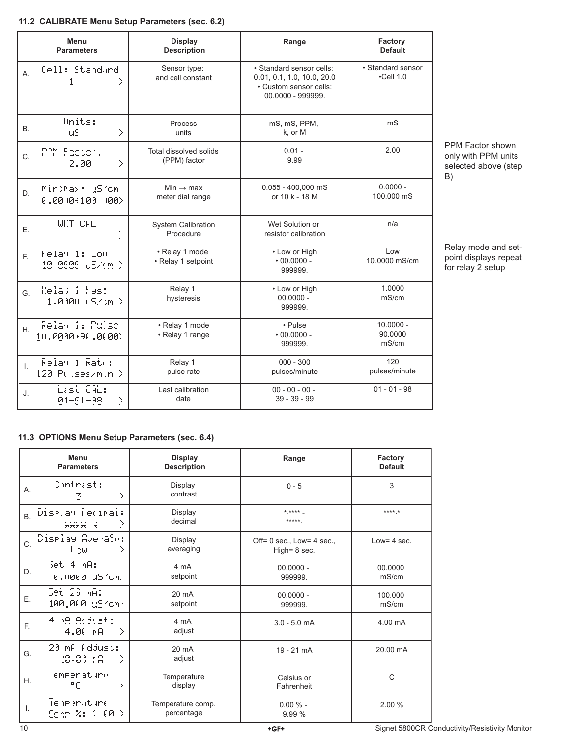#### **11.2 CALIBRATE Menu Setup Parameters (sec. 6.2)**

|              | Menu<br><b>Parameters</b>          | <b>Display</b><br><b>Description</b>      | Range                                                                                                 | Factory<br><b>Default</b>             |
|--------------|------------------------------------|-------------------------------------------|-------------------------------------------------------------------------------------------------------|---------------------------------------|
| A.           | Cell: Standard                     | Sensor type:<br>and cell constant         | • Standard sensor cells:<br>0.01, 0.1, 1.0, 10.0, 20.0<br>· Custom sensor cells:<br>00.0000 - 999999. | • Standard sensor<br>$\cdot$ Cell 1.0 |
| В.           | Units:<br>X<br>u5                  | Process<br>units                          | mS, mS, PPM,<br>k, or M                                                                               | m <sub>S</sub>                        |
| C.           | PPM Factor:<br>X<br>2.00           | Total dissolved solids<br>(PPM) factor    | $0.01 -$<br>9.99                                                                                      | 2.00                                  |
| D.           | Min+Max: uS/cm<br>0.0000+100.000>  | Min $\rightarrow$ max<br>meter dial range | $0.055 - 400,000$ mS<br>or 10 k - 18 M                                                                | $0.0000 -$<br>100.000 mS              |
| Ε.           | <b>WET CAL:</b><br>Þ.              | <b>System Calibration</b><br>Procedure    | Wet Solution or<br>resistor calibration                                                               | n/a                                   |
| F.           | Relay 1: Low<br>10.0000 uS/cm >    | · Relay 1 mode<br>• Relay 1 setpoint      | • Low or High<br>$\cdot$ 00.0000 -<br>999999.                                                         | $\log$<br>10.0000 mS/cm               |
| G.           | Relay 1 Hys:<br>1.0000 uS/cm >     | Relay 1<br>hysteresis                     | • Low or High<br>$00.0000 -$<br>999999.                                                               | 1.0000<br>mS/cm                       |
| H.           | Relay 1: Pulse<br>10.0000+90.0000> | • Relay 1 mode<br>• Relay 1 range         | • Pulse<br>$\cdot$ 00.0000 -<br>999999.                                                               | $10.0000 -$<br>90.0000<br>mS/cm       |
| $\mathsf{L}$ | Relay 1 Rate:<br>120 Pulses/min >  | Relay 1<br>pulse rate                     | $000 - 300$<br>pulses/minute                                                                          | 120<br>pulses/minute                  |
| J.           | Last CAL:<br>X<br>$81 - 61 - 98$   | Last calibration<br>date                  | $00 - 00 - 00 -$<br>$39 - 39 - 99$                                                                    | $01 - 01 - 98$                        |

PPM Factor shown only with PPM units selected above (step B)

#### Relay mode and setpoint displays repeat for relay 2 setup

#### **11.3 OPTIONS Menu Setup Parameters (sec. 6.4)**

|                | Menu<br><b>Parameters</b>               | <b>Display</b><br><b>Description</b> | Range                                           | Factory<br><b>Default</b> |
|----------------|-----------------------------------------|--------------------------------------|-------------------------------------------------|---------------------------|
| Α.             | Contrast:<br>У<br>3.                    | Display<br>contrast                  | $0 - 5$                                         | 3                         |
| B <sub>1</sub> | Display Decimal:<br>У<br><b>HHHH .H</b> | Display<br>decimal                   | $*$ ****<br>*****                               | $****$                    |
| C.             | Display Averade:<br>Σ<br>Low            | Display<br>averaging                 | Off= $0$ sec., Low= $4$ sec.,<br>High= $8$ sec. | Low= $4$ sec.             |
| D.             | Set 4 mA:<br>0.0000 uS/cm>              | 4 mA<br>setpoint                     | $00.0000 -$<br>999999.                          | 00.0000<br>mS/cm          |
| E.             | Set 20 mA:<br>100,000 uS/cm>            | $20 \text{ mA}$<br>setpoint          | $00.0000 -$<br>999999.                          | 100.000<br>mS/cm          |
| E.             | 4 MA Adjust:<br>D.<br>4.00 mA           | 4 mA<br>adjust                       | $3.0 - 5.0$ mA                                  | 4.00 mA                   |
| G.             | 20 mA Adjust:<br>20.00 mA<br>D.         | $20 \text{ mA}$<br>adjust            | $19 - 21$ mA                                    | 20.00 mA                  |
| H.             | Temperature:<br>Y.<br>۰c                | Temperature<br>display               | Celsius or<br>Fahrenheit                        | C                         |
| I.             | Temperature<br>Comp %: 2.00 $>$         | Temperature comp.<br>percentage      | $0.00 \%$ -<br>9.99 %                           | 2.00 %                    |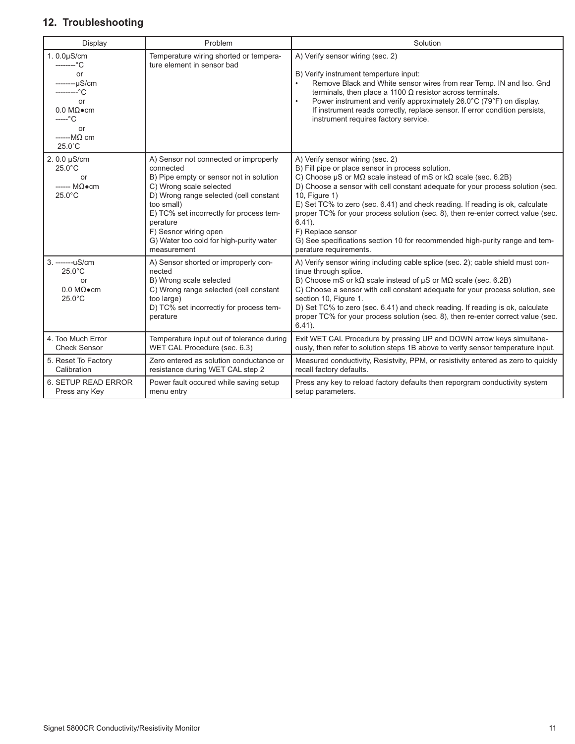## **12. Troubleshooting**

| Display                                                                                                                                                       | Problem                                                                                                                                                                                                                                                                                                                    | Solution                                                                                                                                                                                                                                                                                                                                                                                                                                                                                                                                                                                        |
|---------------------------------------------------------------------------------------------------------------------------------------------------------------|----------------------------------------------------------------------------------------------------------------------------------------------------------------------------------------------------------------------------------------------------------------------------------------------------------------------------|-------------------------------------------------------------------------------------------------------------------------------------------------------------------------------------------------------------------------------------------------------------------------------------------------------------------------------------------------------------------------------------------------------------------------------------------------------------------------------------------------------------------------------------------------------------------------------------------------|
| $1.0.0\mu$ S/cm<br>--------°C<br>or<br>--------uS/cm<br>---------°C<br>or<br>$0.0 M\Omega$ ocm<br>$---^{\circ}C$<br>or<br>$---M\Omega$ cm<br>$25.0^{\circ}$ C | Temperature wiring shorted or tempera-<br>ture element in sensor bad                                                                                                                                                                                                                                                       | A) Verify sensor wiring (sec. 2)<br>B) Verify instrument temperture input:<br>Remove Black and White sensor wires from rear Temp. IN and Iso. Gnd<br>terminals, then place a 1100 $\Omega$ resistor across terminals.<br>Power instrument and verify approximately 26.0°C (79°F) on display.<br>$\bullet$<br>If instrument reads correctly, replace sensor. If error condition persists,<br>instrument requires factory service.                                                                                                                                                                |
| 2.0.0 µS/cm<br>$25.0^{\circ}$ C<br>or<br>$--- M\Omega \bullet cm$<br>$25.0^{\circ}$ C                                                                         | A) Sensor not connected or improperly<br>connected<br>B) Pipe empty or sensor not in solution<br>C) Wrong scale selected<br>D) Wrong range selected (cell constant<br>too small)<br>E) TC% set incorrectly for process tem-<br>perature<br>F) Sesnor wiring open<br>G) Water too cold for high-purity water<br>measurement | A) Verify sensor wiring (sec. 2)<br>B) Fill pipe or place sensor in process solution.<br>C) Choose $\mu$ S or M $\Omega$ scale instead of mS or k $\Omega$ scale (sec. 6.2B)<br>D) Choose a sensor with cell constant adequate for your process solution (sec.<br>10, Figure 1)<br>E) Set TC% to zero (sec. 6.41) and check reading. If reading is ok, calculate<br>proper TC% for your process solution (sec. 8), then re-enter correct value (sec.<br>$6.41$ ).<br>F) Replace sensor<br>G) See specifications section 10 for recommended high-purity range and tem-<br>perature requirements. |
| 3. -------uS/cm<br>$25.0^{\circ}$ C<br>or<br>$0.0 \text{ M}\Omega\bullet\text{cm}$<br>$25.0^{\circ}$ C                                                        | A) Sensor shorted or improperly con-<br>nected<br>B) Wrong scale selected<br>C) Wrong range selected (cell constant<br>too large)<br>D) TC% set incorrectly for process tem-<br>perature                                                                                                                                   | A) Verify sensor wiring including cable splice (sec. 2); cable shield must con-<br>tinue through splice.<br>B) Choose mS or $k\Omega$ scale instead of $\mu$ S or M $\Omega$ scale (sec. 6.2B)<br>C) Choose a sensor with cell constant adequate for your process solution, see<br>section 10, Figure 1.<br>D) Set TC% to zero (sec. 6.41) and check reading. If reading is ok, calculate<br>proper TC% for your process solution (sec. 8), then re-enter correct value (sec.<br>$6.41$ ).                                                                                                      |
| 4. Too Much Error<br><b>Check Sensor</b>                                                                                                                      | Temperature input out of tolerance during<br>WET CAL Procedure (sec. 6.3)                                                                                                                                                                                                                                                  | Exit WET CAL Procedure by pressing UP and DOWN arrow keys simultane-<br>ously, then refer to solution steps 1B above to verify sensor temperature input.                                                                                                                                                                                                                                                                                                                                                                                                                                        |
| 5. Reset To Factory<br>Calibration                                                                                                                            | Zero entered as solution conductance or<br>resistance during WET CAL step 2                                                                                                                                                                                                                                                | Measured conductivity, Resistvity, PPM, or resistivity entered as zero to quickly<br>recall factory defaults.                                                                                                                                                                                                                                                                                                                                                                                                                                                                                   |
| 6. SETUP READ ERROR<br>Press any Key                                                                                                                          | Power fault occured while saving setup<br>menu entry                                                                                                                                                                                                                                                                       | Press any key to reload factory defaults then reporgram conductivity system<br>setup parameters.                                                                                                                                                                                                                                                                                                                                                                                                                                                                                                |